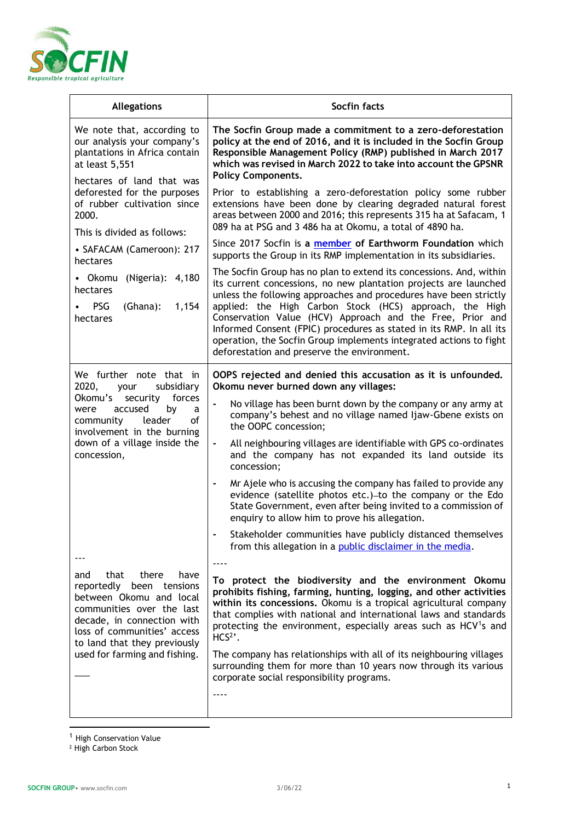

| <b>Allegations</b>                                                                                                                                                                                                                          | Socfin facts                                                                                                                                                                                                                                                                                                                                                                                                                                              |
|---------------------------------------------------------------------------------------------------------------------------------------------------------------------------------------------------------------------------------------------|-----------------------------------------------------------------------------------------------------------------------------------------------------------------------------------------------------------------------------------------------------------------------------------------------------------------------------------------------------------------------------------------------------------------------------------------------------------|
| We note that, according to<br>our analysis your company's<br>plantations in Africa contain<br>at least 5,551                                                                                                                                | The Socfin Group made a commitment to a zero-deforestation<br>policy at the end of 2016, and it is included in the Socfin Group<br>Responsible Management Policy (RMP) published in March 2017<br>which was revised in March 2022 to take into account the GPSNR                                                                                                                                                                                          |
| hectares of land that was<br>deforested for the purposes<br>of rubber cultivation since<br>2000.<br>This is divided as follows:                                                                                                             | <b>Policy Components.</b><br>Prior to establishing a zero-deforestation policy some rubber<br>extensions have been done by clearing degraded natural forest<br>areas between 2000 and 2016; this represents 315 ha at Safacam, 1<br>089 ha at PSG and 3 486 ha at Okomu, a total of 4890 ha.<br>Since 2017 Socfin is a member of Earthworm Foundation which                                                                                               |
| • SAFACAM (Cameroon): 217<br>hectares                                                                                                                                                                                                       | supports the Group in its RMP implementation in its subsidiaries.<br>The Socfin Group has no plan to extend its concessions. And, within                                                                                                                                                                                                                                                                                                                  |
| • Okomu (Nigeria): 4,180<br>hectares<br><b>PSG</b><br>(Ghana):<br>1,154<br>hectares                                                                                                                                                         | its current concessions, no new plantation projects are launched<br>unless the following approaches and procedures have been strictly<br>applied: the High Carbon Stock (HCS) approach, the High<br>Conservation Value (HCV) Approach and the Free, Prior and<br>Informed Consent (FPIC) procedures as stated in its RMP. In all its<br>operation, the Socfin Group implements integrated actions to fight<br>deforestation and preserve the environment. |
| We further note that in<br>2020,<br>subsidiary<br>your<br>Okomu's<br>security forces<br>accused<br>by<br>were<br>a<br>community<br>leader<br>οf<br>involvement in the burning<br>down of a village inside the<br>concession,                | OOPS rejected and denied this accusation as it is unfounded.<br>Okomu never burned down any villages:                                                                                                                                                                                                                                                                                                                                                     |
|                                                                                                                                                                                                                                             | No village has been burnt down by the company or any army at<br>$\blacksquare$<br>company's behest and no village named Ijaw-Gbene exists on<br>the OOPC concession;                                                                                                                                                                                                                                                                                      |
|                                                                                                                                                                                                                                             | All neighbouring villages are identifiable with GPS co-ordinates<br>$\blacksquare$<br>and the company has not expanded its land outside its<br>concession;                                                                                                                                                                                                                                                                                                |
|                                                                                                                                                                                                                                             | Mr Ajele who is accusing the company has failed to provide any<br>$\blacksquare$<br>evidence (satellite photos etc.)-to the company or the Edo<br>State Government, even after being invited to a commission of<br>enquiry to allow him to prove his allegation.                                                                                                                                                                                          |
|                                                                                                                                                                                                                                             | Stakeholder communities have publicly distanced themselves<br>from this allegation in a public disclaimer in the media.                                                                                                                                                                                                                                                                                                                                   |
| that there<br>and<br>have<br>reportedly been tensions<br>between Okomu and local<br>communities over the last<br>decade, in connection with<br>loss of communities' access<br>to land that they previously<br>used for farming and fishing. | To protect the biodiversity and the environment Okomu                                                                                                                                                                                                                                                                                                                                                                                                     |
|                                                                                                                                                                                                                                             | prohibits fishing, farming, hunting, logging, and other activities<br>within its concessions. Okomu is a tropical agricultural company<br>that complies with national and international laws and standards<br>protecting the environment, especially areas such as HCV <sup>1</sup> s and<br>$HCS2$ .                                                                                                                                                     |
|                                                                                                                                                                                                                                             | The company has relationships with all of its neighbouring villages<br>surrounding them for more than 10 years now through its various<br>corporate social responsibility programs.                                                                                                                                                                                                                                                                       |
|                                                                                                                                                                                                                                             | ----                                                                                                                                                                                                                                                                                                                                                                                                                                                      |

<sup>2</sup> High Carbon Stock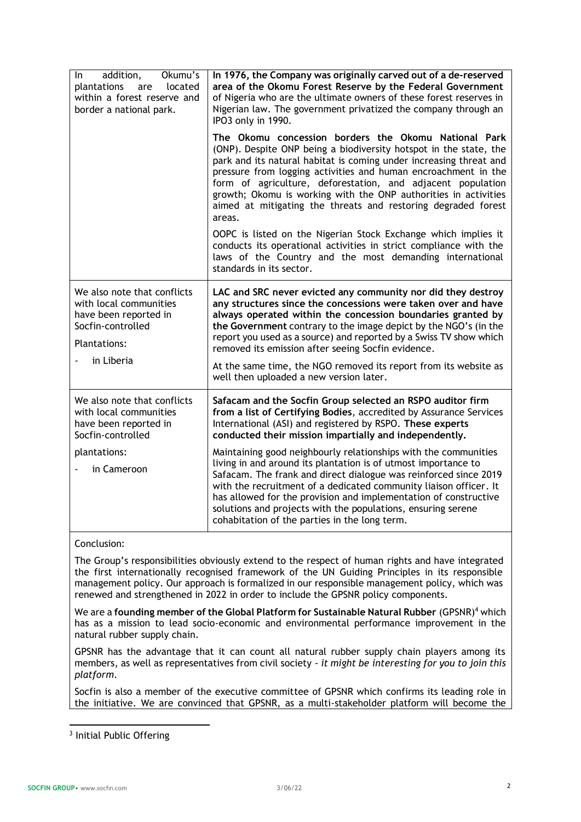| addition,<br>Okumu's<br>In.<br>plantations<br>are<br>located<br>within a forest reserve and<br>border a national park.     | In 1976, the Company was originally carved out of a de-reserved<br>area of the Okomu Forest Reserve by the Federal Government<br>of Nigeria who are the ultimate owners of these forest reserves in<br>Nigerian law. The government privatized the company through an<br>IPO3 only in 1990.                                                                                                                                                                                    |
|----------------------------------------------------------------------------------------------------------------------------|--------------------------------------------------------------------------------------------------------------------------------------------------------------------------------------------------------------------------------------------------------------------------------------------------------------------------------------------------------------------------------------------------------------------------------------------------------------------------------|
|                                                                                                                            | The Okomu concession borders the Okomu National Park<br>(ONP). Despite ONP being a biodiversity hotspot in the state, the<br>park and its natural habitat is coming under increasing threat and<br>pressure from logging activities and human encroachment in the<br>form of agriculture, deforestation, and adjacent population<br>growth; Okomu is working with the ONP authorities in activities<br>aimed at mitigating the threats and restoring degraded forest<br>areas. |
|                                                                                                                            | OOPC is listed on the Nigerian Stock Exchange which implies it<br>conducts its operational activities in strict compliance with the<br>laws of the Country and the most demanding international<br>standards in its sector.                                                                                                                                                                                                                                                    |
| We also note that conflicts<br>with local communities<br>have been reported in<br>Socfin-controlled<br><b>Plantations:</b> | LAC and SRC never evicted any community nor did they destroy<br>any structures since the concessions were taken over and have<br>always operated within the concession boundaries granted by<br>the Government contrary to the image depict by the NGO's (in the<br>report you used as a source) and reported by a Swiss TV show which<br>removed its emission after seeing Socfin evidence.                                                                                   |
| in Liberia                                                                                                                 | At the same time, the NGO removed its report from its website as<br>well then uploaded a new version later.                                                                                                                                                                                                                                                                                                                                                                    |
| We also note that conflicts<br>with local communities<br>have been reported in<br>Socfin-controlled                        | Safacam and the Socfin Group selected an RSPO auditor firm<br>from a list of Certifying Bodies, accredited by Assurance Services<br>International (ASI) and registered by RSPO. These experts<br>conducted their mission impartially and independently.                                                                                                                                                                                                                        |
| plantations:<br>in Cameroon                                                                                                | Maintaining good neighbourly relationships with the communities<br>living in and around its plantation is of utmost importance to<br>Safacam. The frank and direct dialogue was reinforced since 2019<br>with the recruitment of a dedicated community liaison officer. It<br>has allowed for the provision and implementation of constructive<br>solutions and projects with the populations, ensuring serene<br>cohabitation of the parties in the long term.                |

## Conclusion:

The Group's responsibilities obviously extend to the respect of human rights and have integrated the first internationally recognised framework of the UN Guiding Principles in its responsible management policy. Our approach is formalized in our responsible management policy, which was renewed and strengthened in 2022 in order to include the GPSNR policy components.

We are a **founding member of the Global Platform for Sustainable Natural Rubber** (GPSNR)<sup>4</sup> which has as a mission to lead socio-economic and environmental performance improvement in the natural rubber supply chain.

GPSNR has the advantage that it can count all natural rubber supply chain players among its members, as well as representatives from civil society - *it might be interesting for you to join this platform*.

Socfin is also a member of the executive committee of GPSNR which confirms its leading role in the initiative. We are convinced that GPSNR, as a multi-stakeholder platform will become the

<sup>&</sup>lt;sup>3</sup> Initial Public Offering